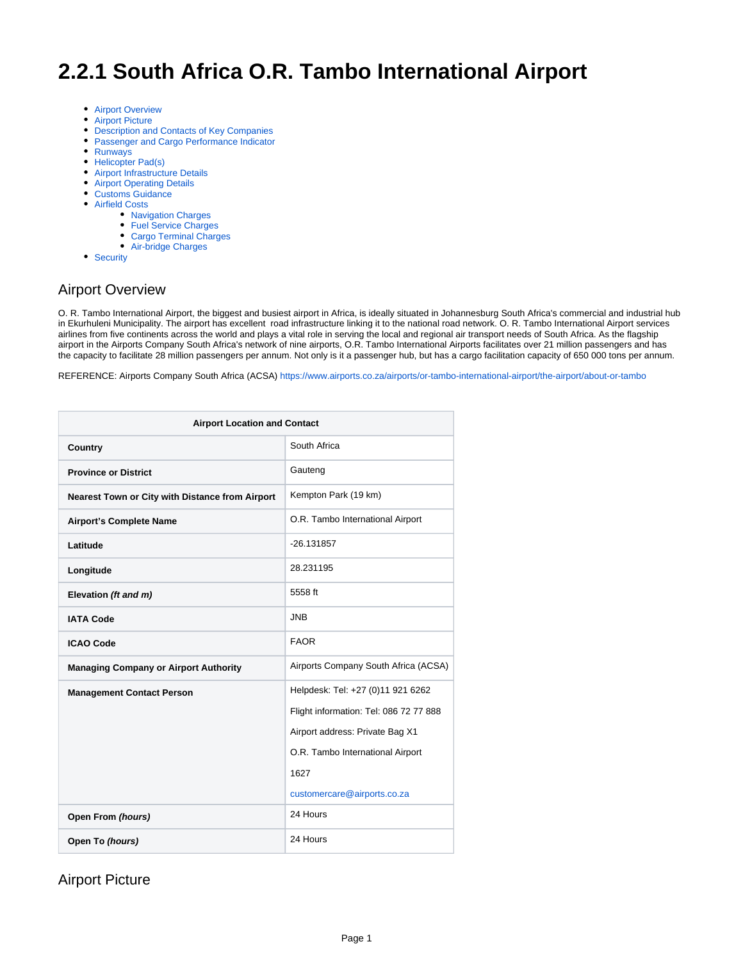# **2.2.1 South Africa O.R. Tambo International Airport**

- [Airport Overview](#page-0-0)
- [Airport Picture](#page-0-1)
- [Description and Contacts of Key Companies](#page-1-0)
- [Passenger and Cargo Performance Indicator](#page-2-0)
- [Runways](#page-2-1)
- [Helicopter Pad\(s\)](#page-2-2)
- [Airport Infrastructure Details](#page-3-0)
- [Airport Operating Details](#page-3-1)
- [Customs Guidance](#page-4-0)
- [Airfield Costs](#page-4-1)
	- [Navigation Charges](#page-4-2)
	- [Fuel Service Charges](#page-4-3)
	- [Cargo Terminal Charges](#page-5-0)
	- [Air-bridge Charges](#page-5-1)
- [Security](#page-5-2)

# <span id="page-0-0"></span>Airport Overview

O. R. Tambo International Airport, the biggest and busiest airport in Africa, is ideally situated in Johannesburg South Africa's commercial and industrial hub in Ekurhuleni Municipality. The airport has excellent road infrastructure linking it to the national road network. O. R. Tambo International Airport services airlines from five continents across the world and plays a vital role in serving the local and regional air transport needs of South Africa. As the flagship airport in the Airports Company South Africa's network of nine airports, O.R. Tambo International Airports facilitates over 21 million passengers and has the capacity to facilitate 28 million passengers per annum. Not only is it a passenger hub, but has a cargo facilitation capacity of 650 000 tons per annum.

REFERENCE: Airports Company South Africa (ACSA) <https://www.airports.co.za/airports/or-tambo-international-airport/the-airport/about-or-tambo>

| <b>Airport Location and Contact</b>             |                                                                                                                                                                                           |  |
|-------------------------------------------------|-------------------------------------------------------------------------------------------------------------------------------------------------------------------------------------------|--|
| Country                                         | South Africa                                                                                                                                                                              |  |
| <b>Province or District</b>                     | Gauteng                                                                                                                                                                                   |  |
| Nearest Town or City with Distance from Airport | Kempton Park (19 km)                                                                                                                                                                      |  |
| <b>Airport's Complete Name</b>                  | O.R. Tambo International Airport                                                                                                                                                          |  |
| Latitude                                        | $-26.131857$                                                                                                                                                                              |  |
| Longitude                                       | 28.231195                                                                                                                                                                                 |  |
| Elevation (ft and m)                            | 5558 ft                                                                                                                                                                                   |  |
| <b>IATA Code</b>                                | <b>JNB</b>                                                                                                                                                                                |  |
| <b>ICAO Code</b>                                | <b>FAOR</b>                                                                                                                                                                               |  |
| <b>Managing Company or Airport Authority</b>    | Airports Company South Africa (ACSA)                                                                                                                                                      |  |
| <b>Management Contact Person</b>                | Helpdesk: Tel: +27 (0)11 921 6262<br>Flight information: Tel: 086 72 77 888<br>Airport address: Private Bag X1<br>O.R. Tambo International Airport<br>1627<br>customercare@airports.co.za |  |
| Open From (hours)                               | 24 Hours                                                                                                                                                                                  |  |
| Open To (hours)                                 | 24 Hours                                                                                                                                                                                  |  |

### <span id="page-0-1"></span>Airport Picture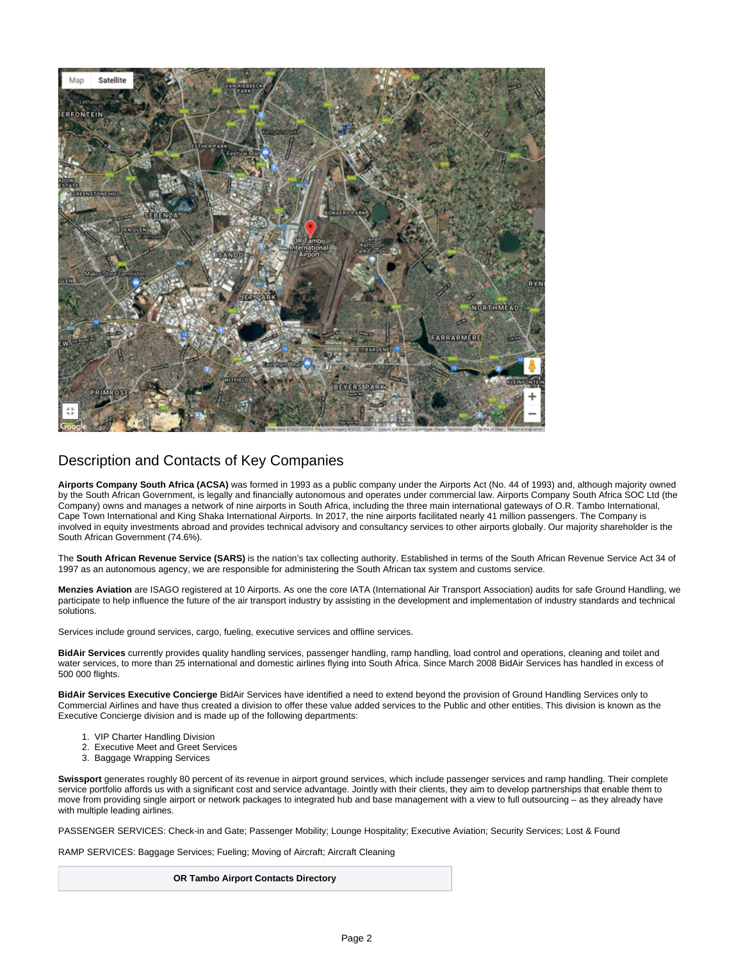

### <span id="page-1-0"></span>Description and Contacts of Key Companies

**Airports Company South Africa (ACSA)** was formed in 1993 as a public company under the Airports Act (No. 44 of 1993) and, although majority owned by the South African Government, is legally and financially autonomous and operates under commercial law. Airports Company South Africa SOC Ltd (the Company) owns and manages a network of nine airports in South Africa, including the three main international gateways of O.R. Tambo International, Cape Town International and King Shaka International Airports. In 2017, the nine airports facilitated nearly 41 million passengers. The Company is involved in equity investments abroad and provides technical advisory and consultancy services to other airports globally. Our majority shareholder is the South African Government (74.6%).

The **South African Revenue Service (SARS)** is the nation's tax collecting authority. Established in terms of the South African Revenue Service Act 34 of 1997 as an autonomous agency, we are responsible for administering the South African tax system and customs service.

**Menzies Aviation** are ISAGO registered at 10 Airports. As one the core IATA (International Air Transport Association) audits for safe Ground Handling, we participate to help influence the future of the air transport industry by assisting in the development and implementation of industry standards and technical solutions.

Services include ground services, cargo, fueling, executive services and offline services.

**BidAir Services** currently provides quality handling services, passenger handling, ramp handling, load control and operations, cleaning and toilet and water services, to more than 25 international and domestic airlines flying into South Africa. Since March 2008 BidAir Services has handled in excess of 500 000 flights.

**BidAir Services Executive Concierge** BidAir Services have identified a need to extend beyond the provision of Ground Handling Services only to Commercial Airlines and have thus created a division to offer these value added services to the Public and other entities. This division is known as the Executive Concierge division and is made up of the following departments:

- 1. VIP Charter Handling Division
- 2. Executive Meet and Greet Services
- 3. Baggage Wrapping Services

Swissport generates roughly 80 percent of its revenue in airport ground services, which include passenger services and ramp handling. Their complete service portfolio affords us with a significant cost and service advantage. Jointly with their clients, they aim to develop partnerships that enable them to move from providing single airport or network packages to integrated hub and base management with a view to full outsourcing – as they already have with multiple leading airlines.

PASSENGER SERVICES: Check-in and Gate; Passenger Mobility; Lounge Hospitality; Executive Aviation; Security Services; Lost & Found

RAMP SERVICES: Baggage Services; Fueling; Moving of Aircraft; Aircraft Cleaning

**OR Tambo Airport Contacts Directory**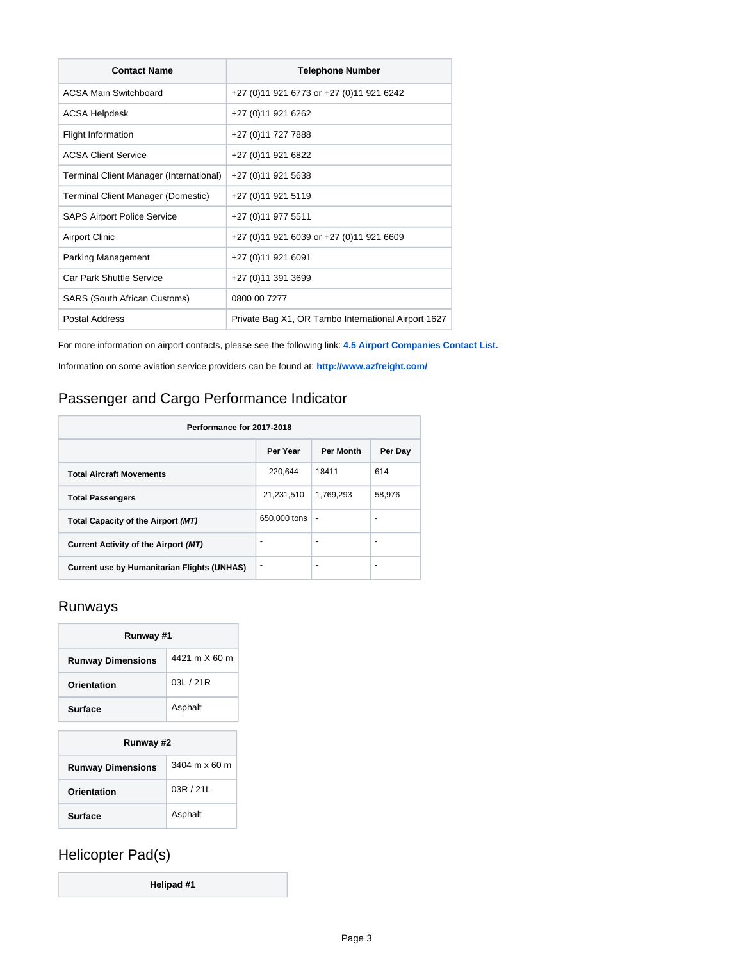| <b>Contact Name</b>                     | <b>Telephone Number</b>                             |
|-----------------------------------------|-----------------------------------------------------|
| ACSA Main Switchboard                   | +27 (0)11 921 6773 or +27 (0)11 921 6242            |
| ACSA Helpdesk                           | +27 (0) 11 921 6262                                 |
| Flight Information                      | +27 (0) 11 727 7888                                 |
| <b>ACSA Client Service</b>              | +27 (0) 11 921 6822                                 |
| Terminal Client Manager (International) | +27 (0) 11 921 5638                                 |
| Terminal Client Manager (Domestic)      | +27 (0) 11 921 5119                                 |
| <b>SAPS Airport Police Service</b>      | +27 (0) 11 977 5511                                 |
| <b>Airport Clinic</b>                   | +27 (0)11 921 6039 or +27 (0)11 921 6609            |
| Parking Management                      | +27 (0) 11 921 6091                                 |
| Car Park Shuttle Service                | +27 (0) 11 391 3699                                 |
| SARS (South African Customs)            | 0800 00 7277                                        |
| <b>Postal Address</b>                   | Private Bag X1, OR Tambo International Airport 1627 |

For more information on airport contacts, please see the following link: **[4.5 Airport Companies Contact List.](https://dlca.logcluster.org/display/DLCA/4.5+South+Africa+Airport+Companies+Contact+List)**

Information on some aviation service providers can be found at: **<http://www.azfreight.com/>**

# <span id="page-2-0"></span>Passenger and Cargo Performance Indicator

| Performance for 2017-2018                          |              |                  |         |
|----------------------------------------------------|--------------|------------------|---------|
|                                                    | Per Year     | <b>Per Month</b> | Per Day |
| <b>Total Aircraft Movements</b>                    | 220,644      | 18411            | 614     |
| <b>Total Passengers</b>                            | 21,231,510   | 1,769,293        | 58,976  |
| Total Capacity of the Airport (MT)                 | 650,000 tons | ٠                | ۰       |
| Current Activity of the Airport (MT)               | ٠            | ٠                | ٠       |
| <b>Current use by Humanitarian Flights (UNHAS)</b> | ۰            |                  | ۰       |

## <span id="page-2-1"></span>Runways

| Runway #1                |               |  |
|--------------------------|---------------|--|
| <b>Runway Dimensions</b> | 4421 m X 60 m |  |
| Orientation              | 0.31 / 21R    |  |
| <b>Surface</b>           | Asphalt       |  |

| Runway #2                |                      |  |
|--------------------------|----------------------|--|
| <b>Runway Dimensions</b> | 3404 m $\times$ 60 m |  |
| Orientation              | 03R/21L              |  |
| <b>Surface</b>           | Asphalt              |  |

# <span id="page-2-2"></span>Helicopter Pad(s)

**Helipad #1**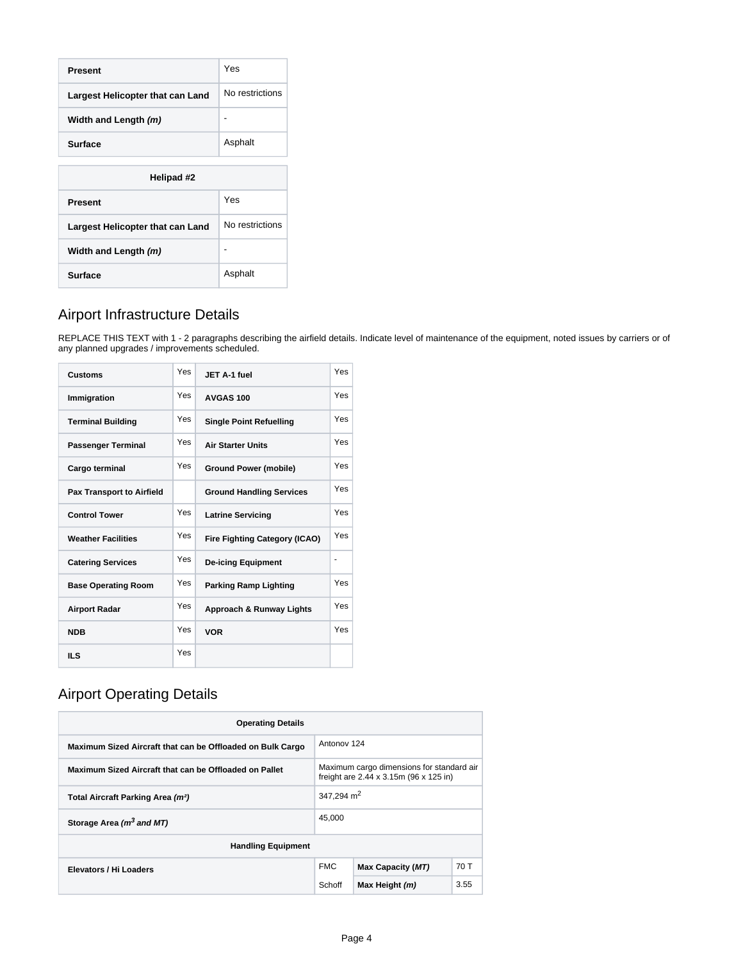| Present                          | Yes             |  |
|----------------------------------|-----------------|--|
| Largest Helicopter that can Land | No restrictions |  |
| Width and Length (m)             |                 |  |
| <b>Surface</b>                   | Asphalt         |  |
|                                  |                 |  |
| Helipad #2                       |                 |  |
| <b>Present</b>                   | Yes             |  |
| Largest Helicopter that can Land | No restrictions |  |
| Width and Length (m)             | -               |  |
| <b>Surface</b>                   | Asphalt         |  |

# <span id="page-3-0"></span>Airport Infrastructure Details

REPLACE THIS TEXT with 1 - 2 paragraphs describing the airfield details. Indicate level of maintenance of the equipment, noted issues by carriers or of any planned upgrades / improvements scheduled.

| <b>Customs</b>                   | Yes | JET A-1 fuel                         | Yes |
|----------------------------------|-----|--------------------------------------|-----|
| Immigration                      | Yes | AVGAS 100                            | Yes |
| <b>Terminal Building</b>         | Yes | <b>Single Point Refuelling</b>       | Yes |
| <b>Passenger Terminal</b>        | Yes | <b>Air Starter Units</b>             | Yes |
| Cargo terminal                   | Yes | <b>Ground Power (mobile)</b>         | Yes |
| <b>Pax Transport to Airfield</b> |     | <b>Ground Handling Services</b>      | Yes |
| <b>Control Tower</b>             | Yes | <b>Latrine Servicing</b>             | Yes |
| <b>Weather Facilities</b>        | Yes | <b>Fire Fighting Category (ICAO)</b> | Yes |
| <b>Catering Services</b>         | Yes | <b>De-icing Equipment</b>            |     |
| <b>Base Operating Room</b>       | Yes | <b>Parking Ramp Lighting</b>         | Yes |
| <b>Airport Radar</b>             | Yes | Approach & Runway Lights             | Yes |
| <b>NDB</b>                       | Yes | <b>VOR</b>                           | Yes |
| IL S                             | Yes |                                      |     |

# <span id="page-3-1"></span>Airport Operating Details

| <b>Operating Details</b>                                                                                                                      |              |                   |      |
|-----------------------------------------------------------------------------------------------------------------------------------------------|--------------|-------------------|------|
| Maximum Sized Aircraft that can be Offloaded on Bulk Cargo                                                                                    |              | Antonov 124       |      |
| Maximum cargo dimensions for standard air<br>Maximum Sized Aircraft that can be Offloaded on Pallet<br>freight are 2.44 x 3.15m (96 x 125 in) |              |                   |      |
| Total Aircraft Parking Area (m <sup>2</sup> )                                                                                                 | 347.294 $m2$ |                   |      |
| 45,000<br>Storage Area (m <sup>3</sup> and MT)                                                                                                |              |                   |      |
| <b>Handling Equipment</b>                                                                                                                     |              |                   |      |
| Elevators / Hi Loaders                                                                                                                        | <b>FMC</b>   | Max Capacity (MT) | 70 T |
|                                                                                                                                               | Schoff       | Max Height (m)    | 3.55 |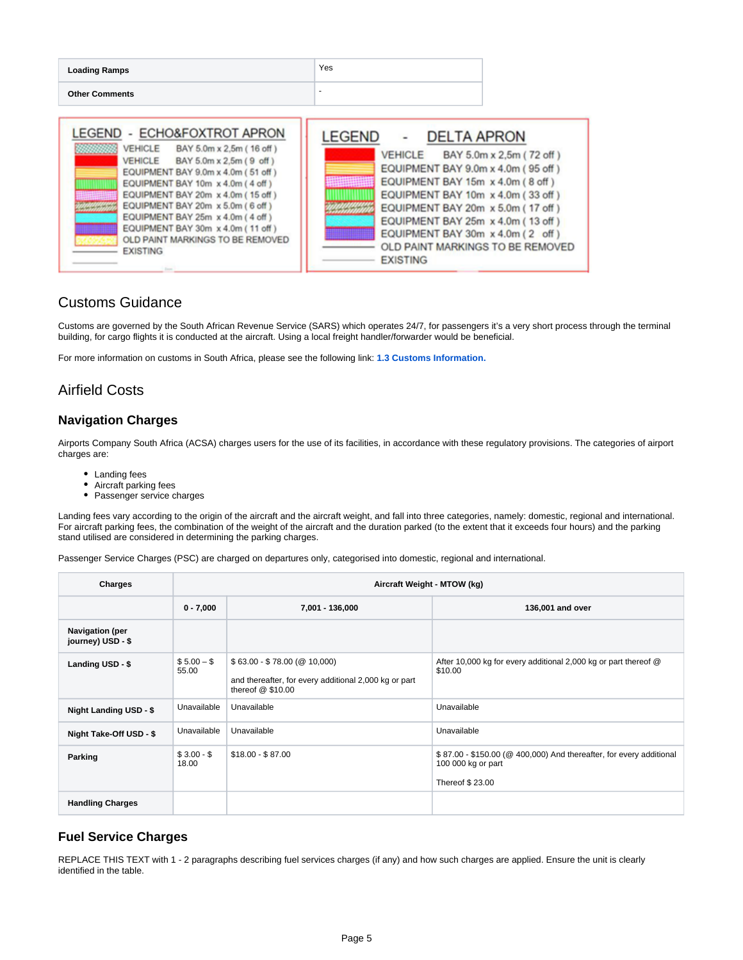| <b>Loading Ramps</b>                                                                                                                                                                                                                                                                                                                                                                                                 | <b>Yes</b>                                                                                                                                                                                                                                                                                                                                                  |
|----------------------------------------------------------------------------------------------------------------------------------------------------------------------------------------------------------------------------------------------------------------------------------------------------------------------------------------------------------------------------------------------------------------------|-------------------------------------------------------------------------------------------------------------------------------------------------------------------------------------------------------------------------------------------------------------------------------------------------------------------------------------------------------------|
| <b>Other Comments</b>                                                                                                                                                                                                                                                                                                                                                                                                |                                                                                                                                                                                                                                                                                                                                                             |
| - ECHO&FOXTROT APRON<br>LEGEND<br>VEHICLE BAY 5.0m x 2,5m (16 off)<br>,,,,,,,,<br>VEHICLE BAY 5.0m x 2.5m (9 off)<br>EQUIPMENT BAY 9.0m x 4.0m (51 off)<br>EQUIPMENT BAY 10m x 4.0m (4 off)<br>EQUIPMENT BAY 20m x 4.0m (15 off)<br>EQUIPMENT BAY 20m x 5.0m (6 off)<br>EQUIPMENT BAY 25m x 4.0m (4 off)<br>EQUIPMENT BAY 30m x 4.0m (11 off)<br>OLD PAINT MARKINGS TO BE REMOVED<br><b>EXISTING</b><br><b>Tours</b> | <b>DELTA APRON</b><br><b>LEGEND</b><br>VEHICLE BAY 5.0m x 2,5m (72 off)<br>EQUIPMENT BAY 9.0m x 4.0m (95 off)<br>EQUIPMENT BAY 15m x 4.0m (8 off)<br>EQUIPMENT BAY 10m x 4.0m (33 off)<br>EQUIPMENT BAY 20m x 5.0m (17 off)<br>EQUIPMENT BAY 25m x 4.0m (13 off)<br>EQUIPMENT BAY 30m x 4.0m (2 off)<br>OLD PAINT MARKINGS TO BE REMOVED<br><b>EXISTING</b> |

### <span id="page-4-0"></span>Customs Guidance

Customs are governed by the South African Revenue Service (SARS) which operates 24/7, for passengers it's a very short process through the terminal building, for cargo flights it is conducted at the aircraft. Using a local freight handler/forwarder would be beneficial.

For more information on customs in South Africa, please see the following link: **[1.3 Customs Information.](https://dlca.logcluster.org/display/DLCA/1.3+South+Africa+Customs+Information)** 

## <span id="page-4-1"></span>Airfield Costs

#### <span id="page-4-2"></span>**Navigation Charges**

Airports Company South Africa (ACSA) charges users for the use of its facilities, in accordance with these regulatory provisions. The categories of airport charges are:

- Landing fees
- Aircraft parking fees
- Passenger service charges

Landing fees vary according to the origin of the aircraft and the aircraft weight, and fall into three categories, namely: domestic, regional and international. For aircraft parking fees, the combination of the weight of the aircraft and the duration parked (to the extent that it exceeds four hours) and the parking stand utilised are considered in determining the parking charges.

Passenger Service Charges (PSC) are charged on departures only, categorised into domestic, regional and international.

| Charges                                     | Aircraft Weight - MTOW (kg) |                                                                                                            |                                                                                                              |
|---------------------------------------------|-----------------------------|------------------------------------------------------------------------------------------------------------|--------------------------------------------------------------------------------------------------------------|
|                                             | $0 - 7,000$                 | 7,001 - 136,000                                                                                            | 136,001 and over                                                                                             |
| <b>Navigation (per</b><br>journey) USD - \$ |                             |                                                                                                            |                                                                                                              |
| Landing USD - \$                            | $$5.00 - $$<br>55.00        | $$63.00 - $78.00 (@ 10,000)$<br>and thereafter, for every additional 2,000 kg or part<br>thereof $@$10.00$ | After 10,000 kg for every additional 2,000 kg or part thereof @<br>\$10.00                                   |
| Night Landing USD - \$                      | Unavailable                 | Unavailable                                                                                                | Unavailable                                                                                                  |
| Night Take-Off USD - \$                     | Unavailable                 | Unavailable                                                                                                | Unavailable                                                                                                  |
| Parking                                     | $$3.00 - $$<br>18.00        | $$18.00 - $87.00$                                                                                          | \$87.00 - \$150.00 (@ 400,000) And thereafter, for every additional<br>100 000 kg or part<br>Thereof \$23.00 |
| <b>Handling Charges</b>                     |                             |                                                                                                            |                                                                                                              |

#### <span id="page-4-3"></span>**Fuel Service Charges**

REPLACE THIS TEXT with 1 - 2 paragraphs describing fuel services charges (if any) and how such charges are applied. Ensure the unit is clearly identified in the table.